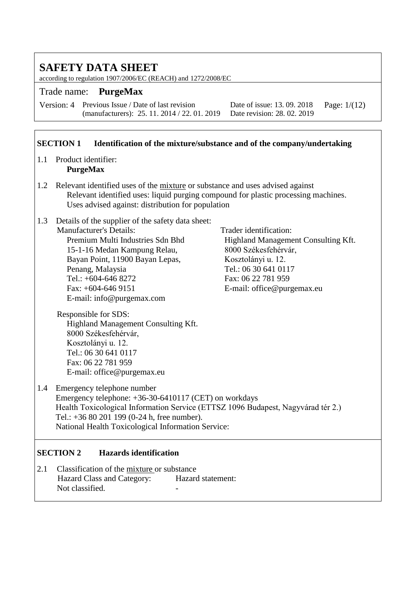according to regulation 1907/2006/EC (REACH) and 1272/2008/EC

#### Trade name: **PurgeMax**

Version: 4 Previous Issue / Date of last revision (manufacturers): 25. 11. 2014 / 22. 01. 2019

Date of issue: 13. 09. 2018 Date revision: 28. 02. 2019 Page: 1/(12)

#### **SECTION 1 Identification of the mixture/substance and of the company/undertaking**

- 1.1 Product identifier: **PurgeMax**
- 1.2 Relevant identified uses of the mixture or substance and uses advised against Relevant identified uses: liquid purging compound for plastic processing machines. Uses advised against: distribution for population
- 1.3 Details of the supplier of the safety data sheet: Manufacturer's Details: Trader identification:<br>
Premium Multi Industries Sdn Bhd
Highland Manageme 15-1-16 Medan Kampung Relau, 8000 Székesfehérvár, Bayan Point, 11900 Bayan Lepas, Kosztolányi u. 12. Penang, Malaysia Tel.: 06 30 641 0117 Tel.: +604-646 8272 Fax: 06 22 781 959 Fax: +604-646 9151 E-mail: office @purgemax.eu E-mail: info@purgemax.com

Highland Management Consulting Kft.

Responsible for SDS: Highland Management Consulting Kft. 8000 Székesfehérvár, Kosztolányi u. 12. Tel.: 06 30 641 0117 Fax: 06 22 781 959 E-mail: office@purgemax.eu

1.4 Emergency telephone number Emergency telephone: +36-30-6410117 (CET) on workdays Health Toxicological Information Service (ETTSZ 1096 Budapest, Nagyvárad tér 2.) Tel.: +36 80 201 199 (0-24 h, free number). National Health Toxicological Information Service:

#### **SECTION 2 Hazards identification**

2.1 Classification of the mixture or substance Hazard Class and Category: Hazard statement: Not classified.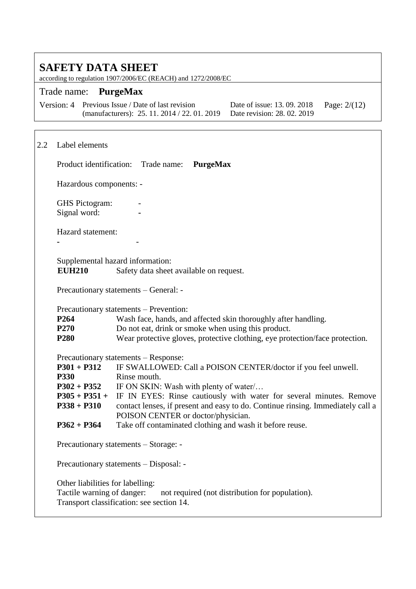according to regulation 1907/2006/EC (REACH) and 1272/2008/EC

#### Trade name: **PurgeMax**

| Version: 4 Previous Issue / Date of last revision                        | Date of issue: 13. 09. 2018 Page: $2/(12)$ |  |
|--------------------------------------------------------------------------|--------------------------------------------|--|
| (manufacturers): 25. 11. 2014 / 22. 01. 2019 Date revision: 28. 02. 2019 |                                            |  |

### 2.2 Label elements Product identification: Trade name: **PurgeMax** Hazardous components: - **GHS** Pictogram: Signal word: **-** Hazard statement: **-** - Supplemental hazard information: **EUH210** Safety data sheet available on request. Precautionary statements – General: - Precautionary statements – Prevention: **P264** Wash face, hands, and affected skin thoroughly after handling. **P270** Do not eat, drink or smoke when using this product. **P280** Wear protective gloves, protective clothing, eye protection/face protection. Precautionary statements – Response: **P301 + P312** IF SWALLOWED: Call a POISON CENTER/doctor if you feel unwell. **P330** Rinse mouth. P302 + P352 IF ON SKIN: Wash with plenty of water/... **P305 + P351 + P338 + P310** IF IN EYES: Rinse cautiously with water for several minutes. Remove contact lenses, if present and easy to do. Continue rinsing. Immediately call a POISON CENTER or doctor/physician. **P362 + P364** Take off contaminated clothing and wash it before reuse. Precautionary statements – Storage: - Precautionary statements – Disposal: - Other liabilities for labelling: Tactile warning of danger: not required (not distribution for population). Transport classification: see section 14.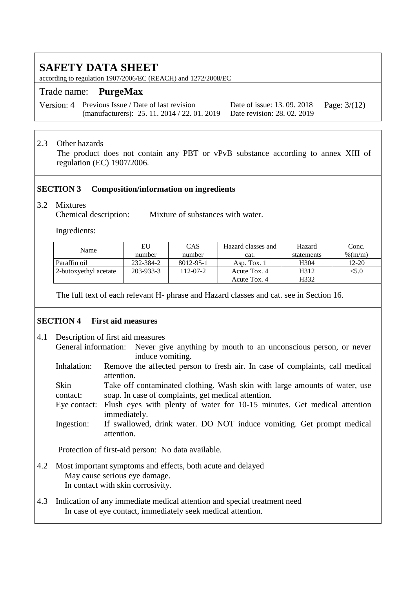according to regulation 1907/2006/EC (REACH) and 1272/2008/EC

#### Trade name: **PurgeMax**

Version: 4 Previous Issue / Date of last revision (manufacturers): 25. 11. 2014 / 22. 01. 2019

Date of issue: 13. 09. 2018 Date revision: 28. 02. 2019 Page: 3/(12)

#### 2.3 Other hazards

The product does not contain any PBT or vPvB substance according to annex XIII of regulation (EC) 1907/2006.

#### **SECTION 3 Composition/information on ingredients**

3.2 Mixtures Mixture of substances with water.

Ingredients:

| Name                  | EU        | CAS       | Hazard classes and | Hazard     | Conc.   |
|-----------------------|-----------|-----------|--------------------|------------|---------|
|                       | number    | number    | cat.               | statements | % (m/m) |
| Paraffin oil          | 232-384-2 | 8012-95-1 | Asp. Tox. 1        | H304       | 12-20   |
| 2-butoxyethyl acetate | 203-933-3 | 112-07-2  | Acute Tox. 4       | H312       | <5.0    |
|                       |           |           | Acute Tox. 4       | H332       |         |

The full text of each relevant H- phrase and Hazard classes and cat. see in Section 16.

#### **SECTION 4 First aid measures**

- 4.1 Description of first aid measures General information: Never give anything by mouth to an unconscious person, or never induce vomiting.
	- Inhalation: Remove the affected person to fresh air. In case of complaints, call medical attention.

Skin contact: Take off contaminated clothing. Wash skin with large amounts of water, use soap. In case of complaints, get medical attention.

Eye contact: Flush eyes with plenty of water for 10-15 minutes. Get medical attention immediately.

Ingestion: If swallowed, drink water. DO NOT induce vomiting. Get prompt medical attention.

Protection of first-aid person: No data available.

- 4.2 Most important symptoms and effects, both acute and delayed May cause serious eye damage. In contact with skin corrosivity.
- 4.3 Indication of any immediate medical attention and special treatment need In case of eye contact, immediately seek medical attention.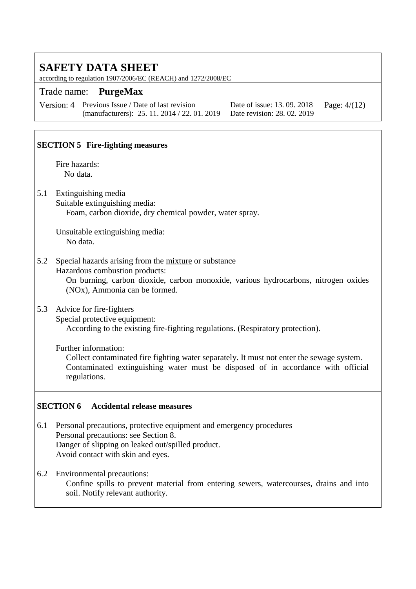according to regulation 1907/2006/EC (REACH) and 1272/2008/EC

#### Trade name: **PurgeMax**

Version: 4 Previous Issue / Date of last revision (manufacturers): 25. 11. 2014 / 22. 01. 2019

Date of issue: 13. 09. 2018 Date revision: 28. 02. 2019 Page: 4/(12)

#### **SECTION 5 Fire-fighting measures**

Fire hazards: No data.

5.1 Extinguishing media

Suitable extinguishing media: Foam, carbon dioxide, dry chemical powder, water spray.

Unsuitable extinguishing media: No data.

#### 5.2 Special hazards arising from the mixture or substance

Hazardous combustion products:

On burning, carbon dioxide, carbon monoxide, various hydrocarbons, nitrogen oxides (NOx), Ammonia can be formed.

#### 5.3 Advice for fire-fighters

Special protective equipment: According to the existing fire-fighting regulations. (Respiratory protection).

Further information:

Collect contaminated fire fighting water separately. It must not enter the sewage system. Contaminated extinguishing water must be disposed of in accordance with official regulations.

#### **SECTION 6 Accidental release measures**

6.1 Personal precautions, protective equipment and emergency procedures Personal precautions: see Section 8. Danger of slipping on leaked out/spilled product. Avoid contact with skin and eyes.

6.2 Environmental precautions: Confine spills to prevent material from entering sewers, watercourses, drains and into soil. Notify relevant authority.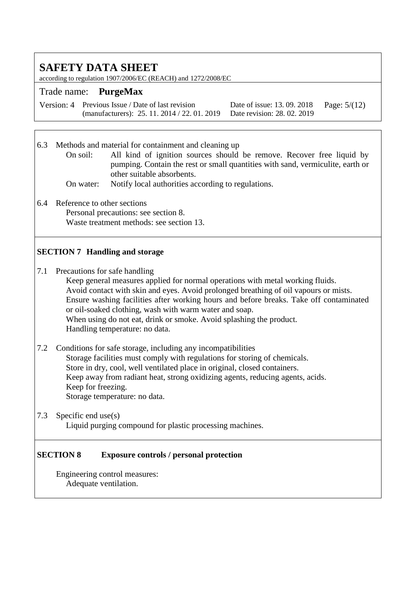according to regulation 1907/2006/EC (REACH) and 1272/2008/EC

#### Trade name: **PurgeMax**

Version: 4 Previous Issue / Date of last revision (manufacturers): 25. 11. 2014 / 22. 01. 2019

Date of issue: 13. 09. 2018 Date revision: 28. 02. 2019 Page: 5/(12)

6.3 Methods and material for containment and cleaning up

- On soil: All kind of ignition sources should be remove. Recover free liquid by pumping. Contain the rest or small quantities with sand, vermiculite, earth or other suitable absorbents.
	- On water: Notify local authorities according to regulations.
- 6.4 Reference to other sections Personal precautions: see section 8. Waste treatment methods: see section 13.

#### **SECTION 7 Handling and storage**

7.1 Precautions for safe handling

Keep general measures applied for normal operations with metal working fluids. Avoid contact with skin and eyes. Avoid prolonged breathing of oil vapours or mists. Ensure washing facilities after working hours and before breaks. Take off contaminated or oil-soaked clothing, wash with warm water and soap. When using do not eat, drink or smoke. Avoid splashing the product. Handling temperature: no data.

- 7.2 Conditions for safe storage, including any incompatibilities Storage facilities must comply with regulations for storing of chemicals. Store in dry, cool, well ventilated place in original, closed containers. Keep away from radiant heat, strong oxidizing agents, reducing agents, acids. Keep for freezing. Storage temperature: no data.
- 7.3 Specific end use(s) Liquid purging compound for plastic processing machines.

#### **SECTION 8 Exposure controls / personal protection**

Engineering control measures: Adequate ventilation.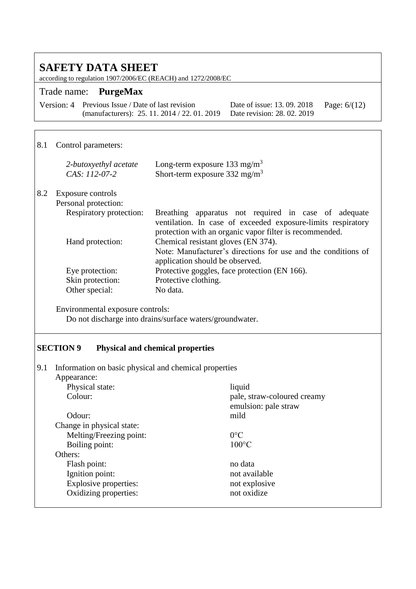according to regulation 1907/2006/EC (REACH) and 1272/2008/EC

### Trade name: **PurgeMax**

Version: 4 Previous Issue / Date of last revision (manufacturers): 25. 11. 2014 / 22. 01. 2019 Date revision: 28. 02. 2019

Date of issue: 13. 09. 2018 Page: 6/(12)

### 8.1 Control parameters:

|     | 2-butoxyethyl acetate<br>CAS: 112-07-2 | Long-term exposure 133 mg/m <sup>3</sup><br>Short-term exposure $332 \text{ mg/m}^3$                                                                                            |
|-----|----------------------------------------|---------------------------------------------------------------------------------------------------------------------------------------------------------------------------------|
| 8.2 | Exposure controls                      |                                                                                                                                                                                 |
|     | Personal protection:                   |                                                                                                                                                                                 |
|     | Respiratory protection:                | Breathing apparatus not required in case of adequate<br>ventilation. In case of exceeded exposure-limits respiratory<br>protection with an organic vapor filter is recommended. |
|     | Hand protection:                       | Chemical resistant gloves (EN 374).                                                                                                                                             |
|     |                                        | Note: Manufacturer's directions for use and the conditions of<br>application should be observed.                                                                                |
|     | Eye protection:                        | Protective goggles, face protection (EN 166).                                                                                                                                   |
|     | Skin protection:                       | Protective clothing.                                                                                                                                                            |
|     | Other special:                         | No data.                                                                                                                                                                        |

Environmental exposure controls:

Do not discharge into drains/surface waters/groundwater.

#### **SECTION 9 Physical and chemical properties**

| 9.1 Information on basic physical and chemical properties |  |  |  |  |
|-----------------------------------------------------------|--|--|--|--|
|                                                           |  |  |  |  |

| Appearance:                  |                                                     |
|------------------------------|-----------------------------------------------------|
| Physical state:              | liquid                                              |
| Colour:                      | pale, straw-coloured creamy<br>emulsion: pale straw |
| Odour:                       | mild                                                |
| Change in physical state:    |                                                     |
| Melting/Freezing point:      | $0^{\circ}$ C                                       |
| Boiling point:               | $100^{\circ}$ C                                     |
| Others:                      |                                                     |
| Flash point:                 | no data                                             |
| Ignition point:              | not available                                       |
| <b>Explosive properties:</b> | not explosive                                       |
| Oxidizing properties:        | not oxidize                                         |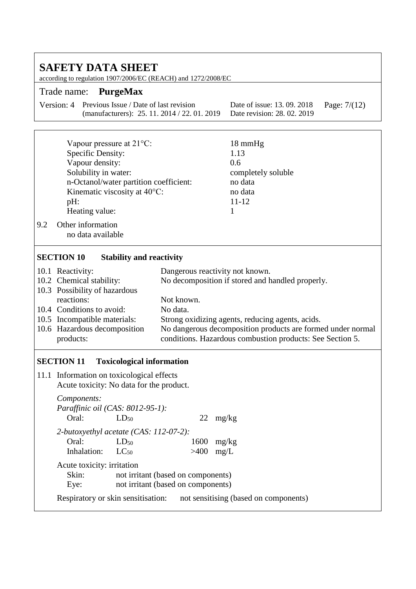### **SAFETY DATA SHEET** according to regulation 1907/2006/EC (REACH) and 1272/2008/EC Trade name: **PurgeMax** Version: 4 Previous Issue / Date of last revision (manufacturers): 25. 11. 2014 / 22. 01. 2019 Date of issue: 13. 09. 2018 Date revision: 28. 02. 2019 Page: 7/(12) Vapour pressure at 21°C: 18 mmHg Specific Density: 1.13 Vapour density: 0.6 Solubility in water: completely soluble n-Octanol/water partition coefficient: no data Kinematic viscosity at 40°C: no data pH:  $11-12$ Heating value: 1 9.2 Other information no data available **SECTION 10 Stability and reactivity** 10.1 Reactivity: Dangerous reactivity not known. 10.2 Chemical stability: No decomposition if stored and handled properly. 10.3 Possibility of hazardous reactions: Not known. 10.4 Conditions to avoid: No data. 10.5 Incompatible materials: Strong oxidizing agents, reducing agents, acids. 10.6 Hazardous decomposition No dangerous decomposition products are formed under normal

conditions. Hazardous combustion products: See Section 5.

#### **SECTION 11 Toxicological information**

products:

11.1 Information on toxicological effects Acute toxicity: No data for the product.

| Components:                |                                         |      |                                       |
|----------------------------|-----------------------------------------|------|---------------------------------------|
|                            | <i>Paraffinic oil (CAS: 8012-95-1):</i> |      |                                       |
| Oral:                      | LD <sub>50</sub>                        | 22   | mg/kg                                 |
|                            | 2-butoxyethyl acetate (CAS: 112-07-2):  |      |                                       |
| Oral:                      | $LD_{50}$                               | 1600 | mg/kg                                 |
| Inhalation: $LC_{50}$      |                                         | >400 | mg/L                                  |
| Acute toxicity: irritation |                                         |      |                                       |
| Skin:                      | not irritant (based on components)      |      |                                       |
| Eye:                       | not irritant (based on components)      |      |                                       |
|                            | Respiratory or skin sensitisation:      |      | not sensitising (based on components) |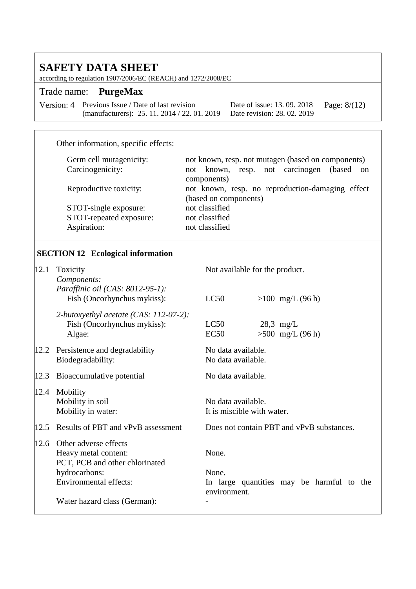according to regulation 1907/2006/EC (REACH) and 1272/2008/EC

### Trade name: **PurgeMax**

| Version: 4 Previous Issue / Date of last revision                        | Date of issue: 13. 09. 2018 Page: $8/(12)$ |  |
|--------------------------------------------------------------------------|--------------------------------------------|--|
| (manufacturers): 25. 11. 2014 / 22. 01. 2019 Date revision: 28. 02. 2019 |                                            |  |

### Other information, specific effects:

| Germ cell mutagenicity: | not known, resp. not mutagen (based on components)        |  |  |
|-------------------------|-----------------------------------------------------------|--|--|
| Carcinogenicity:        | known, resp. not carcinogen<br>(based)<br>not<br>$\alpha$ |  |  |
|                         | components)                                               |  |  |
| Reproductive toxicity:  | not known, resp. no reproduction-damaging effect          |  |  |
|                         | (based on components)                                     |  |  |
| STOT-single exposure:   | not classified                                            |  |  |
| STOT-repeated exposure: | not classified                                            |  |  |
| Aspiration:             | not classified                                            |  |  |
|                         |                                                           |  |  |

# **SECTION 12 Ecological information**

| 12.1 | Toxicity<br>Components:                                                                                                                                           | Not available for the product.                                              |
|------|-------------------------------------------------------------------------------------------------------------------------------------------------------------------|-----------------------------------------------------------------------------|
|      | Paraffinic oil (CAS: 8012-95-1):<br>Fish (Oncorhynchus mykiss):                                                                                                   | LC50<br>$>100$ mg/L (96 h)                                                  |
|      | 2-butoxyethyl acetate (CAS: 112-07-2):<br>Fish (Oncorhynchus mykiss):<br>Algae:                                                                                   | LC50<br>$28.3$ mg/L<br>$>500$ mg/L (96 h)<br>EC50                           |
| 12.2 | Persistence and degradability<br>Biodegradability:                                                                                                                | No data available.<br>No data available.                                    |
| 12.3 | Bioaccumulative potential                                                                                                                                         | No data available.                                                          |
| 12.4 | Mobility<br>Mobility in soil<br>Mobility in water:                                                                                                                | No data available.<br>It is miscible with water.                            |
| 12.5 | Results of PBT and vPvB assessment                                                                                                                                | Does not contain PBT and vPvB substances.                                   |
| 12.6 | Other adverse effects<br>Heavy metal content:<br>PCT, PCB and other chlorinated<br>hydrocarbons:<br><b>Environmental effects:</b><br>Water hazard class (German): | None.<br>None.<br>In large quantities may be harmful to the<br>environment. |
|      |                                                                                                                                                                   |                                                                             |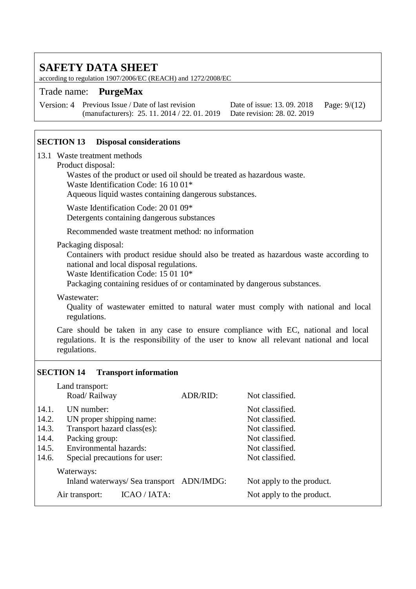according to regulation 1907/2006/EC (REACH) and 1272/2008/EC

#### Trade name: **PurgeMax**

Version: 4 Previous Issue / Date of last revision (manufacturers): 25. 11. 2014 / 22. 01. 2019

Date of issue: 13. 09. 2018 Date revision: 28. 02. 2019 Page: 9/(12)

#### **SECTION 13 Disposal considerations**

13.1 Waste treatment methods

#### Product disposal:

Wastes of the product or used oil should be treated as hazardous waste.

Waste Identification Code: 16 10 01\*

Aqueous liquid wastes containing dangerous substances.

Waste Identification Code: 20 01 09\*

Detergents containing dangerous substances

Recommended waste treatment method: no information

#### Packaging disposal:

Containers with product residue should also be treated as hazardous waste according to national and local disposal regulations.

Waste Identification Code: 15 01 10\*

Packaging containing residues of or contaminated by dangerous substances.

#### Wastewater:

Quality of wastewater emitted to natural water must comply with national and local regulations.

Care should be taken in any case to ensure compliance with EC, national and local regulations. It is the responsibility of the user to know all relevant national and local regulations.

#### **SECTION 14 Transport information**

|       | Land transport:                                  |                 |                           |  |
|-------|--------------------------------------------------|-----------------|---------------------------|--|
|       | Road/Railway                                     | ADR/RID:        | Not classified.           |  |
| 14.1. | UN number:                                       |                 | Not classified.           |  |
| 14.2. | UN proper shipping name:                         |                 | Not classified.           |  |
| 14.3. | Transport hazard class(es):                      |                 | Not classified.           |  |
| 14.4. | Packing group:                                   | Not classified. |                           |  |
| 14.5. | <b>Environmental hazards:</b><br>Not classified. |                 |                           |  |
| 14.6. | Special precautions for user:<br>Not classified. |                 |                           |  |
|       | Waterways:                                       |                 |                           |  |
|       | Inland waterways/ Sea transport ADN/IMDG:        |                 | Not apply to the product. |  |
|       | ICAO / IATA:<br>Air transport:                   |                 | Not apply to the product. |  |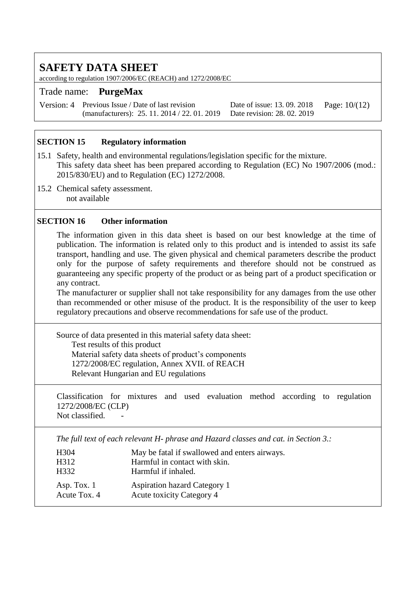according to regulation 1907/2006/EC (REACH) and 1272/2008/EC

#### Trade name: **PurgeMax**

Version: 4 Previous Issue / Date of last revision (manufacturers): 25. 11. 2014 / 22. 01. 2019

Date of issue: 13. 09. 2018 Date revision: 28. 02. 2019 Page: 10/(12)

#### **SECTION 15 Regulatory information**

- 15.1 Safety, health and environmental regulations/legislation specific for the mixture. This safety data sheet has been prepared according to Regulation (EC) No 1907/2006 (mod.: 2015/830/EU) and to Regulation (EC) 1272/2008.
- 15.2 Chemical safety assessment. not available

#### **SECTION 16 Other information**

The information given in this data sheet is based on our best knowledge at the time of publication. The information is related only to this product and is intended to assist its safe transport, handling and use. The given physical and chemical parameters describe the product only for the purpose of safety requirements and therefore should not be construed as guaranteeing any specific property of the product or as being part of a product specification or any contract.

The manufacturer or supplier shall not take responsibility for any damages from the use other than recommended or other misuse of the product. It is the responsibility of the user to keep regulatory precautions and observe recommendations for safe use of the product.

Source of data presented in this material safety data sheet: Test results of this product Material safety data sheets of product's components 1272/2008/EC regulation, Annex XVII. of REACH Relevant Hungarian and EU regulations

Classification for mixtures and used evaluation method according to regulation 1272/2008/EC (CLP)

Not classified.

*The full text of each relevant H- phrase and Hazard classes and cat. in Section 3.:*

| H304                          | May be fatal if swallowed and enters airways.                    |
|-------------------------------|------------------------------------------------------------------|
| H312                          | Harmful in contact with skin.                                    |
| H <sub>332</sub>              | Harmful if inhaled.                                              |
| Asp. Tox. $1$<br>Acute Tox. 4 | <b>Aspiration hazard Category 1</b><br>Acute toxicity Category 4 |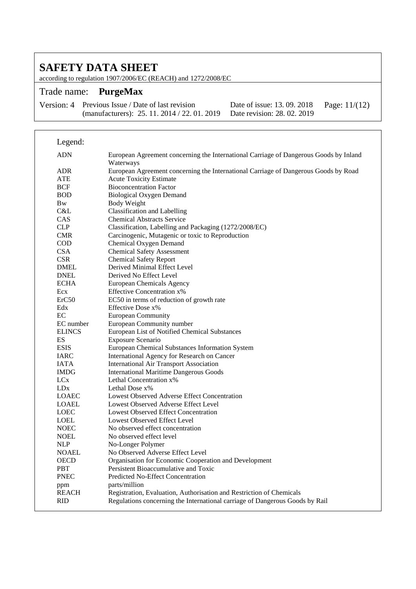according to regulation 1907/2006/EC (REACH) and 1272/2008/EC

### Trade name: **PurgeMax**

Version: 4 Previous Issue / Date of last revision (manufacturers): 25. 11. 2014 / 22. 01. 2019 Date revision: 28. 02. 2019

Date of issue: 13. 09. 2018

Page: 11/(12)

| Legend:         |                                                                                                    |
|-----------------|----------------------------------------------------------------------------------------------------|
| <b>ADN</b>      | European Agreement concerning the International Carriage of Dangerous Goods by Inland<br>Waterways |
| <b>ADR</b>      | European Agreement concerning the International Carriage of Dangerous Goods by Road                |
| <b>ATE</b>      | <b>Acute Toxicity Estimate</b>                                                                     |
| <b>BCF</b>      | <b>Bioconcentration Factor</b>                                                                     |
| <b>BOD</b>      | <b>Biological Oxygen Demand</b>                                                                    |
| <b>Bw</b>       | <b>Body Weight</b>                                                                                 |
| C&L             | <b>Classification and Labelling</b>                                                                |
| CAS             | <b>Chemical Abstracts Service</b>                                                                  |
| CLP             | Classification, Labelling and Packaging (1272/2008/EC)                                             |
| <b>CMR</b>      | Carcinogenic, Mutagenic or toxic to Reproduction                                                   |
| <b>COD</b>      | Chemical Oxygen Demand                                                                             |
| <b>CSA</b>      | <b>Chemical Safety Assessment</b>                                                                  |
| <b>CSR</b>      | <b>Chemical Safety Report</b>                                                                      |
| <b>DMEL</b>     | Derived Minimal Effect Level                                                                       |
| <b>DNEL</b>     | Derived No Effect Level                                                                            |
| <b>ECHA</b>     | <b>European Chemicals Agency</b>                                                                   |
| Ecx             | <b>Effective Concentration x%</b>                                                                  |
| ErC50           | EC50 in terms of reduction of growth rate                                                          |
| Edx             | Effective Dose x%                                                                                  |
| EC              | <b>European Community</b>                                                                          |
| EC number       | European Community number                                                                          |
| <b>ELINCS</b>   | European List of Notified Chemical Substances                                                      |
| ES              | Exposure Scenario                                                                                  |
| <b>ESIS</b>     | European Chemical Substances Information System                                                    |
| <b>IARC</b>     | International Agency for Research on Cancer                                                        |
| <b>IATA</b>     | <b>International Air Transport Association</b>                                                     |
| <b>IMDG</b>     | <b>International Maritime Dangerous Goods</b>                                                      |
| <b>LC</b> x     | Lethal Concentration x%                                                                            |
| LD <sub>x</sub> | Lethal Dose $x\%$                                                                                  |
| <b>LOAEC</b>    | Lowest Observed Adverse Effect Concentration                                                       |
| <b>LOAEL</b>    | Lowest Observed Adverse Effect Level                                                               |
| <b>LOEC</b>     | <b>Lowest Observed Effect Concentration</b>                                                        |
| LOEL            | Lowest Observed Effect Level                                                                       |
| <b>NOEC</b>     | No observed effect concentration                                                                   |
| <b>NOEL</b>     | No observed effect level                                                                           |
| <b>NLP</b>      | No-Longer Polymer                                                                                  |
| <b>NOAEL</b>    | No Observed Adverse Effect Level                                                                   |
| <b>OECD</b>     | Organisation for Economic Cooperation and Development                                              |
| <b>PBT</b>      | Persistent Bioaccumulative and Toxic                                                               |
| <b>PNEC</b>     | Predicted No-Effect Concentration                                                                  |
| ppm             | parts/million                                                                                      |
| <b>REACH</b>    | Registration, Evaluation, Authorisation and Restriction of Chemicals                               |
| <b>RID</b>      | Regulations concerning the International carriage of Dangerous Goods by Rail                       |